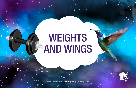## WEIGHTS **AND WINGS**

*© 2019 Transformative Learning Alliance (TLA) Everyday Circles*